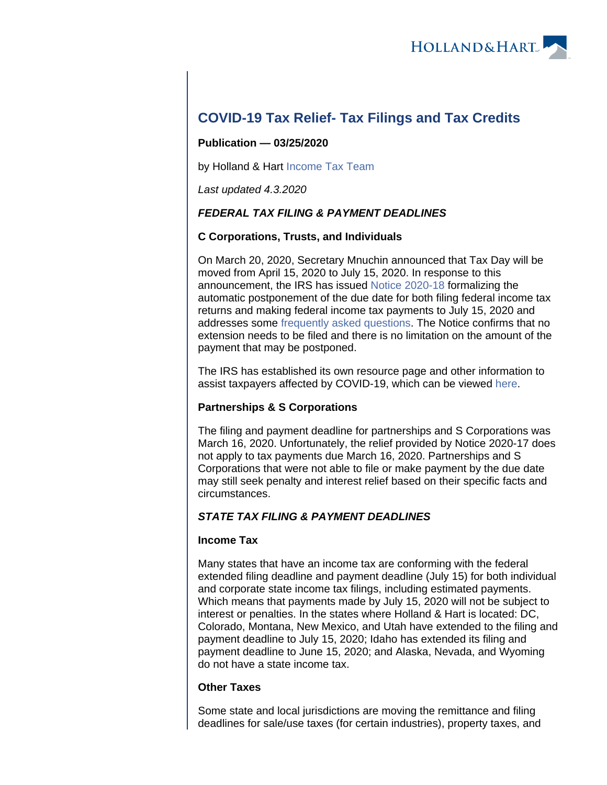

# **COVID-19 Tax Relief- Tax Filings and Tax Credits**

### **Publication — 03/25/2020**

by Holland & Hart [Income Tax Team](https://www.hollandhart.com/income-tax)

Last updated 4.3.2020

# **FEDERAL TAX FILING & PAYMENT DEADLINES**

# **C Corporations, Trusts, and Individuals**

On March 20, 2020, Secretary Mnuchin announced that Tax Day will be moved from April 15, 2020 to July 15, 2020. In response to this announcement, the IRS has issued [Notice 2020-18](https://www.irs.gov/pub/irs-drop/n-20-18.pdf) formalizing the automatic postponement of the due date for both filing federal income tax returns and making federal income tax payments to July 15, 2020 and addresses some [frequently asked questions](https://www.irs.gov/newsroom/filing-and-payment-deadlines-questions-and-answers). The Notice confirms that no extension needs to be filed and there is no limitation on the amount of the payment that may be postponed.

The IRS has established its own resource page and other information to assist taxpayers affected by COVID-19, which can be viewed [here](https://www.irs.gov/coronavirus).

# **Partnerships & S Corporations**

The filing and payment deadline for partnerships and S Corporations was March 16, 2020. Unfortunately, the relief provided by Notice 2020-17 does not apply to tax payments due March 16, 2020. Partnerships and S Corporations that were not able to file or make payment by the due date may still seek penalty and interest relief based on their specific facts and circumstances.

# **STATE TAX FILING & PAYMENT DEADLINES**

# **Income Tax**

Many states that have an income tax are conforming with the federal extended filing deadline and payment deadline (July 15) for both individual and corporate state income tax filings, including estimated payments. Which means that payments made by July 15, 2020 will not be subject to interest or penalties. In the states where Holland & Hart is located: DC, Colorado, Montana, New Mexico, and Utah have extended to the filing and payment deadline to July 15, 2020; Idaho has extended its filing and payment deadline to June 15, 2020; and Alaska, Nevada, and Wyoming do not have a state income tax.

#### **Other Taxes**

Some state and local jurisdictions are moving the remittance and filing deadlines for sale/use taxes (for certain industries), property taxes, and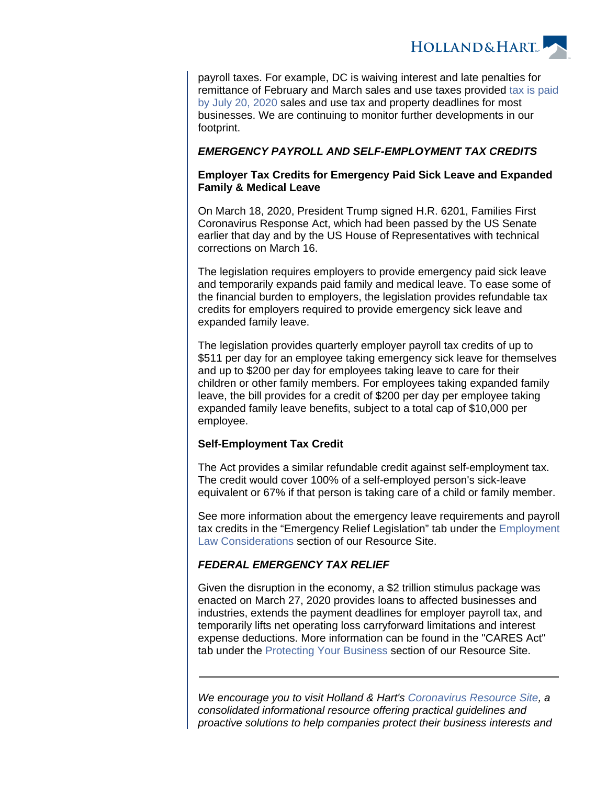

payroll taxes. For example, DC is waiving interest and late penalties for remittance of February and March sales and use taxes provided [tax is paid](https://otr.cfo.dc.gov/release/office-tax-and-revenue-announces-important-filing-and-payment-deadline-extensions-business)  [by July 20, 2020](https://otr.cfo.dc.gov/release/office-tax-and-revenue-announces-important-filing-and-payment-deadline-extensions-business) sales and use tax and property deadlines for most businesses. We are continuing to monitor further developments in our footprint.

#### **EMERGENCY PAYROLL AND SELF-EMPLOYMENT TAX CREDITS**

#### **Employer Tax Credits for Emergency Paid Sick Leave and Expanded Family & Medical Leave**

On March 18, 2020, President Trump signed H.R. 6201, Families First Coronavirus Response Act, which had been passed by the US Senate earlier that day and by the US House of Representatives with technical corrections on March 16.

The legislation requires employers to provide emergency paid sick leave and temporarily expands paid family and medical leave. To ease some of the financial burden to employers, the legislation provides refundable tax credits for employers required to provide emergency sick leave and expanded family leave.

The legislation provides quarterly employer payroll tax credits of up to \$511 per day for an employee taking emergency sick leave for themselves and up to \$200 per day for employees taking leave to care for their children or other family members. For employees taking expanded family leave, the bill provides for a credit of \$200 per day per employee taking expanded family leave benefits, subject to a total cap of \$10,000 per employee.

#### **Self-Employment Tax Credit**

The Act provides a similar refundable credit against self-employment tax. The credit would cover 100% of a self-employed person's sick-leave equivalent or 67% if that person is taking care of a child or family member.

See more information about the emergency leave requirements and payroll tax credits in the "Emergency Relief Legislation" tab under the [Employment](https://www.coronavirus.hollandhart.com/protecting-your-workforce)  [Law Considerations](https://www.coronavirus.hollandhart.com/protecting-your-workforce) section of our Resource Site.

#### **FEDERAL EMERGENCY TAX RELIEF**

Given the disruption in the economy, a \$2 trillion stimulus package was enacted on March 27, 2020 provides loans to affected businesses and industries, extends the payment deadlines for employer payroll tax, and temporarily lifts net operating loss carryforward limitations and interest expense deductions. More information can be found in the "CARES Act" tab under the [Protecting Your Business](https://www.coronavirus.hollandhart.com/protecting-your-business) section of our Resource Site.

We encourage you to visit Holland & Hart's [Coronavirus Resource Site](https://experience.hollandhart.com/coronavirus-resource-site), a consolidated informational resource offering practical guidelines and proactive solutions to help companies protect their business interests and